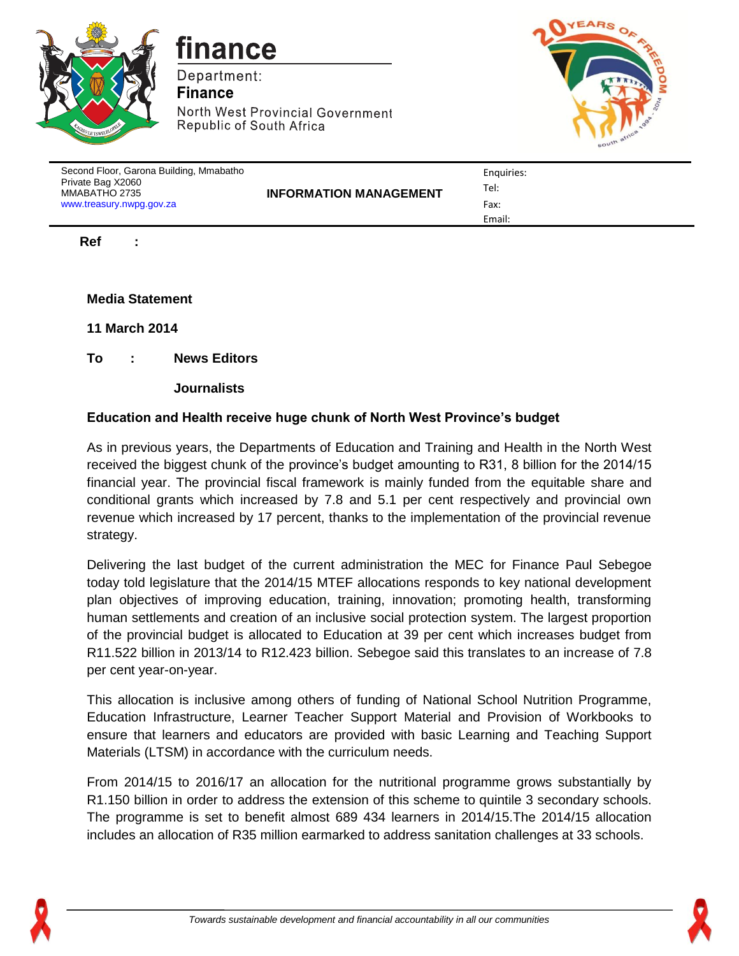

finance

Department: **Finance** North West Provincial Government Republic of South Africa



| Second Floor, Garona Building, Mmabatho<br>Private Bag X2060<br>MMABATHO 2735<br>www.treasury.nwpg.gov.za | <b>INFORMATION MANAGEMENT</b> | Enguiries:<br>Tel:<br>Fax: |
|-----------------------------------------------------------------------------------------------------------|-------------------------------|----------------------------|
|                                                                                                           |                               | Email:                     |

**Ref :** 

**Media Statement**

**11 March 2014**

**To : News Editors**

**Journalists**

## **Education and Health receive huge chunk of North West Province's budget**

As in previous years, the Departments of Education and Training and Health in the North West received the biggest chunk of the province's budget amounting to R31, 8 billion for the 2014/15 financial year. The provincial fiscal framework is mainly funded from the equitable share and conditional grants which increased by 7.8 and 5.1 per cent respectively and provincial own revenue which increased by 17 percent, thanks to the implementation of the provincial revenue strategy.

Delivering the last budget of the current administration the MEC for Finance Paul Sebegoe today told legislature that the 2014/15 MTEF allocations responds to key national development plan objectives of improving education, training, innovation; promoting health, transforming human settlements and creation of an inclusive social protection system. The largest proportion of the provincial budget is allocated to Education at 39 per cent which increases budget from R11.522 billion in 2013/14 to R12.423 billion. Sebegoe said this translates to an increase of 7.8 per cent year-on-year.

This allocation is inclusive among others of funding of National School Nutrition Programme, Education Infrastructure, Learner Teacher Support Material and Provision of Workbooks to ensure that learners and educators are provided with basic Learning and Teaching Support Materials (LTSM) in accordance with the curriculum needs.

From 2014/15 to 2016/17 an allocation for the nutritional programme grows substantially by R1.150 billion in order to address the extension of this scheme to quintile 3 secondary schools. The programme is set to benefit almost 689 434 learners in 2014/15.The 2014/15 allocation includes an allocation of R35 million earmarked to address sanitation challenges at 33 schools.